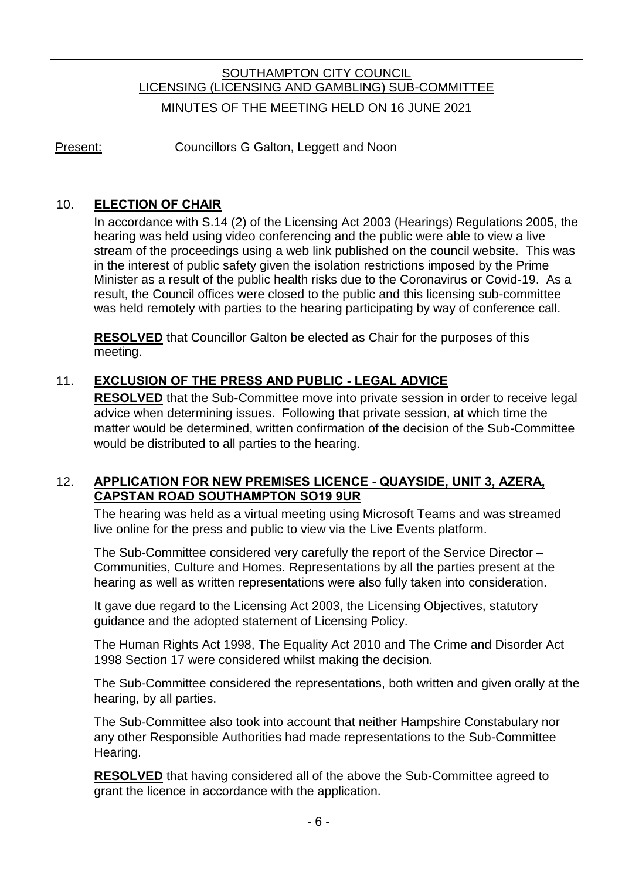# SOUTHAMPTON CITY COUNCIL LICENSING (LICENSING AND GAMBLING) SUB-COMMITTEE MINUTES OF THE MEETING HELD ON 16 JUNE 2021

Present: Councillors G Galton, Leggett and Noon

## 10. **ELECTION OF CHAIR**

In accordance with S.14 (2) of the Licensing Act 2003 (Hearings) Regulations 2005, the hearing was held using video conferencing and the public were able to view a live stream of the proceedings using a web link published on the council website. This was in the interest of public safety given the isolation restrictions imposed by the Prime Minister as a result of the public health risks due to the Coronavirus or Covid-19. As a result, the Council offices were closed to the public and this licensing sub-committee was held remotely with parties to the hearing participating by way of conference call.

**RESOLVED** that Councillor Galton be elected as Chair for the purposes of this meeting.

## 11. **EXCLUSION OF THE PRESS AND PUBLIC - LEGAL ADVICE**

**RESOLVED** that the Sub-Committee move into private session in order to receive legal advice when determining issues. Following that private session, at which time the matter would be determined, written confirmation of the decision of the Sub-Committee would be distributed to all parties to the hearing.

### 12. **APPLICATION FOR NEW PREMISES LICENCE - QUAYSIDE, UNIT 3, AZERA, CAPSTAN ROAD SOUTHAMPTON SO19 9UR**

The hearing was held as a virtual meeting using Microsoft Teams and was streamed live online for the press and public to view via the Live Events platform.

The Sub-Committee considered very carefully the report of the Service Director – Communities, Culture and Homes. Representations by all the parties present at the hearing as well as written representations were also fully taken into consideration.

It gave due regard to the Licensing Act 2003, the Licensing Objectives, statutory guidance and the adopted statement of Licensing Policy.

The Human Rights Act 1998, The Equality Act 2010 and The Crime and Disorder Act 1998 Section 17 were considered whilst making the decision.

The Sub-Committee considered the representations, both written and given orally at the hearing, by all parties.

The Sub-Committee also took into account that neither Hampshire Constabulary nor any other Responsible Authorities had made representations to the Sub-Committee Hearing.

**RESOLVED** that having considered all of the above the Sub-Committee agreed to grant the licence in accordance with the application.